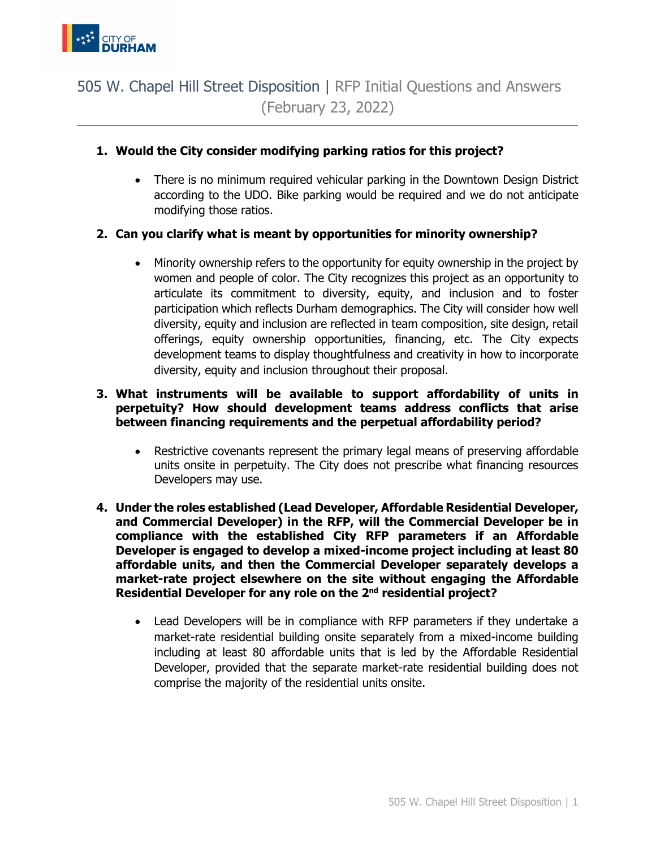

## 505 W. Chapel Hill Street Disposition | RFP Initial Questions and Answers (February 23, 2022)

## **1. Would the City consider modifying parking ratios for this project?**

• There is no minimum required vehicular parking in the Downtown Design District according to the UDO. Bike parking would be required and we do not anticipate modifying those ratios.

## **2. Can you clarify what is meant by opportunities for minority ownership?**

• Minority ownership refers to the opportunity for equity ownership in the project by women and people of color. The City recognizes this project as an opportunity to articulate its commitment to diversity, equity, and inclusion and to foster participation which reflects Durham demographics. The City will consider how well diversity, equity and inclusion are reflected in team composition, site design, retail offerings, equity ownership opportunities, financing, etc. The City expects development teams to display thoughtfulness and creativity in how to incorporate diversity, equity and inclusion throughout their proposal.

## **3. What instruments will be available to support affordability of units in perpetuity? How should development teams address conflicts that arise between financing requirements and the perpetual affordability period?**

- Restrictive covenants represent the primary legal means of preserving affordable units onsite in perpetuity. The City does not prescribe what financing resources Developers may use.
- **4. Under the roles established (Lead Developer, Affordable Residential Developer, and Commercial Developer) in the RFP, will the Commercial Developer be in compliance with the established City RFP parameters if an Affordable Developer is engaged to develop a mixed-income project including at least 80 affordable units, and then the Commercial Developer separately develops a market-rate project elsewhere on the site without engaging the Affordable Residential Developer for any role on the 2nd residential project?**
	- Lead Developers will be in compliance with RFP parameters if they undertake a market-rate residential building onsite separately from a mixed-income building including at least 80 affordable units that is led by the Affordable Residential Developer, provided that the separate market-rate residential building does not comprise the majority of the residential units onsite.